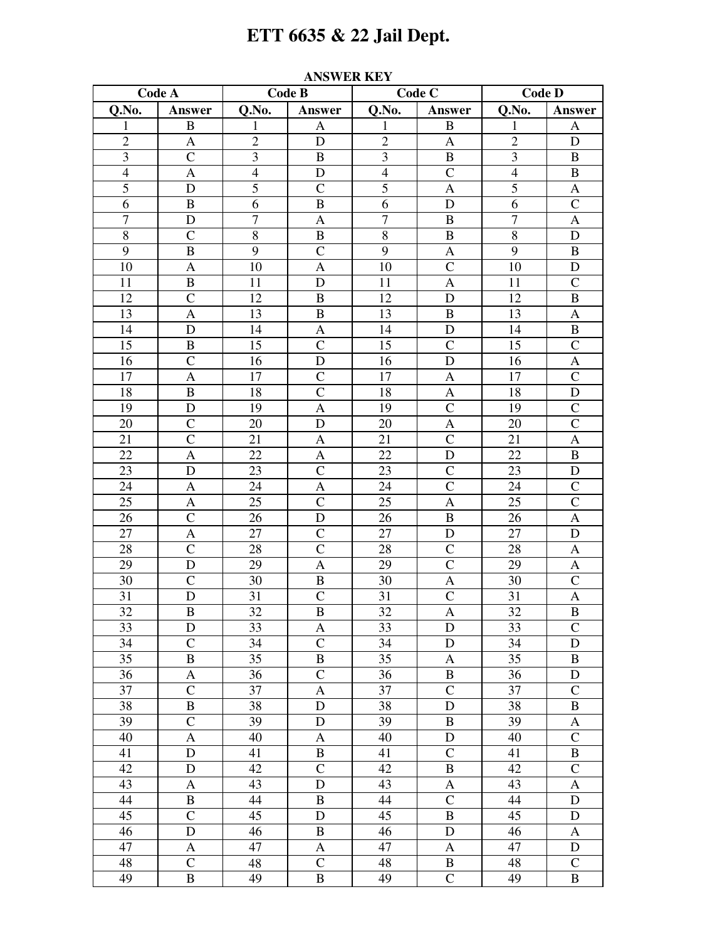## ETT 6635 & 22 Jail Dept.

| Code A          |                  | Code B          |                           | Code C         |                | <b>Code D</b>   |                           |
|-----------------|------------------|-----------------|---------------------------|----------------|----------------|-----------------|---------------------------|
| Q.No.           | Answer           | Q.No.           | Answer                    | Q.No.          | <b>Answer</b>  | Q.No.           | Answer                    |
| 1               | $\, {\bf B}$     | 1               | A                         | 1              | $\bf{B}$       | 1               | $\mathbf{A}$              |
| $\overline{c}$  | A                | $\overline{2}$  | ${\bf D}$                 | $\overline{c}$ | $\mathbf{A}$   | $\overline{c}$  | ${\bf D}$                 |
| 3               | $\mathcal{C}$    | 3               | $\bf{B}$                  | $\mathfrak{Z}$ | $\, {\bf B}$   | 3               | B                         |
| $\overline{4}$  | $\mathbf{A}$     | $\overline{4}$  | $\mathbf D$               | $\overline{4}$ | $\mathsf{C}$   | $\overline{4}$  | $\, {\bf B}$              |
| $\overline{5}$  | D                | $\overline{5}$  | $\overline{C}$            | $\overline{5}$ | $\mathbf{A}$   | $\overline{5}$  | $\mathbf A$               |
| 6               | $\, {\bf B}$     | 6               | $\mathbf B$               | $\overline{6}$ | D              | $\overline{6}$  | $\overline{C}$            |
| $\overline{7}$  | $\mathbf D$      | $\overline{7}$  | $\boldsymbol{\rm{A}}$     | $\overline{7}$ | $\, {\bf B}$   | $\overline{7}$  | $\boldsymbol{\mathsf{A}}$ |
| $8\,$           | $\mathcal{C}$    | $\,$ 8 $\,$     | $\, {\bf B}$              | $\,8\,$        | $\, {\bf B}$   | $\,8\,$         | $\mathbf D$               |
| 9               | $\, {\bf B}$     | 9               | $\mathcal{C}$             | 9              | $\mathbf{A}$   | 9               | $\, {\bf B}$              |
| 10              | $\mathbf{A}$     | 10              | $\mathbf{A}$              | 10             | $\mathsf{C}$   | 10              | ${\bf D}$                 |
| 11              | $\, {\bf B}$     | 11              | D                         | 11             | $\mathbf{A}$   | 11              | $\overline{C}$            |
| 12              | $\overline{C}$   | 12              | $\, {\bf B}$              | 12             | ${\rm D}$      | 12              | $\, {\bf B}$              |
| 13              | $\mathbf{A}$     | 13              | $\, {\bf B}$              | 13             | $\, {\bf B}$   | 13              | $\mathbf{A}$              |
| 14              | D                | 14              | $\boldsymbol{\mathsf{A}}$ | 14             | D              | 14              | $\, {\bf B}$              |
| 15              | $\, {\bf B}$     | 15              | $\overline{C}$            | 15             | $\mathcal{C}$  | 15              | $\overline{C}$            |
| 16              | $\overline{C}$   | 16              | $\mathbf D$               | 16             | D              | 16              | $\boldsymbol{\mathsf{A}}$ |
| 17              | $\boldsymbol{A}$ | 17              | $\overline{C}$            | 17             | $\mathbf A$    | 17              | $\overline{C}$            |
| 18              | $\, {\bf B}$     | 18              | $\mathcal{C}$             | 18             | A              | 18              | $\mathbf D$               |
| 19              | $\mathbf D$      | 19              | $\mathbf{A}$              | 19             | $\mathcal{C}$  | 19              | $\mathsf{C}$              |
| 20              | $\mathcal{C}$    | 20              | D                         | 20             | $\mathbf A$    | 20              | $\overline{C}$            |
| 21              | $\overline{C}$   | 21              | $\mathbf{A}$              | 21             | $\mathcal{C}$  | 21              | $\boldsymbol{\mathsf{A}}$ |
| 22              | $\boldsymbol{A}$ | 22              | $\boldsymbol{\rm{A}}$     | 22             | D              | 22              | $\, {\bf B}$              |
| 23              | D                | 23              | $\overline{C}$            | 23             | $\mathsf{C}$   | 23              | ${\bf D}$                 |
| 24              | $\mathbf A$      | 24              | $\boldsymbol{\mathsf{A}}$ | 24             | $\mathcal{C}$  | 24              | $\mathsf{C}$              |
| 25              | $\mathbf{A}$     | 25              | $\overline{C}$            | 25             | $\mathbf{A}$   | 25              | $\overline{C}$            |
| 26              | $\overline{C}$   | 26              | $\mathbf D$               | 26             | $\, {\bf B}$   | 26              | $\boldsymbol{\mathsf{A}}$ |
| 27              | $\mathbf A$      | 27              | $\overline{C}$            | 27             | D              | 27              | ${\bf D}$                 |
| 28              | $\mathcal{C}$    | 28              | $\mathcal{C}$             | 28             | $\mathcal{C}$  | 28              | $\mathbf{A}$              |
| 29              | D                | 29              | $\mathbf{A}$              | 29             | $\mathcal{C}$  | 29              | A                         |
| 30              | $\mathcal{C}$    | 30              | $\, {\bf B}$              | 30             | $\mathbf A$    | 30              | $\overline{C}$            |
| 31              | D                | 31              | $\mathsf{C}$              | 31             | $\mathsf{C}$   | 31              | $\boldsymbol{\mathsf{A}}$ |
| 32              | $\, {\bf B}$     | $\overline{32}$ | $\overline{B}$            | 32             | $\overline{A}$ | $\overline{32}$ | $\, {\bf B}$              |
| 33              | D                | 33              | A                         | 33             | D              | 33              | $\mathcal{C}$             |
| 34              | $\mathbf C$      | 34              | $\mathcal{C}$             | 34             | ${\rm D}$      | 34              | ${\bf D}$                 |
| 35              | $\, {\bf B}$     | 35              | $\, {\bf B}$              | 35             | $\mathbf{A}$   | 35              | $\, {\bf B}$              |
| 36              | A                | 36              | $\mathsf{C}$              | 36             | $\, {\bf B}$   | 36              | $\mathbf D$               |
| $\overline{37}$ | $\overline{C}$   | 37              | $\boldsymbol{\mathsf{A}}$ | 37             | $\mathsf{C}$   | 37              | $\mathsf{C}$              |
| 38              | $\, {\bf B}$     | 38              | $\mathbf D$               | 38             | D              | 38              | $\, {\bf B}$              |
| 39              | $\mathsf{C}$     | 39              | $\mathbf D$               | 39             | $\, {\bf B}$   | 39              | A                         |
| 40              | $\mathbf{A}$     | 40              | $\boldsymbol{A}$          | 40             | D              | 40              | $\overline{C}$            |
| 41              | ${\bf D}$        | 41              | $\, {\bf B}$              | 41             | $\mathsf{C}$   | 41              | $\, {\bf B}$              |
| 42              | ${\rm D}$        | 42              | $\overline{C}$            | 42             | $\, {\bf B}$   | 42              | $\overline{C}$            |
| 43              | A                | 43              | $\mathbf D$               | 43             | $\mathbf{A}$   | 43              | $\mathbf{A}$              |
| 44              | $\, {\bf B}$     | 44              | $\, {\bf B}$              | 44             | $\mathcal{C}$  | 44              | $\mathbf D$               |
| 45              | $\mathcal{C}$    | 45              | $\mathbf D$               | 45             | $\, {\bf B}$   | 45              | $\mathbf D$               |
| 46              | D                | 46              | $\, {\bf B}$              | 46             | $\mathbf D$    | 46              | A                         |
| 47              | $\mathbf{A}$     | 47              | $\mathbf{A}$              | 47             | $\mathbf{A}$   | 47              | $\mathbf D$               |
| 48              | $\mathcal{C}$    | 48              | $\mathbf C$               | 48             | B              | 48              | $\mathbf C$               |
| 49              | $\, {\bf B}$     | 49              | $\, {\bf B}$              | 49             | $\overline{C}$ | 49              | $\, {\bf B}$              |

## **ANSWER KEY**